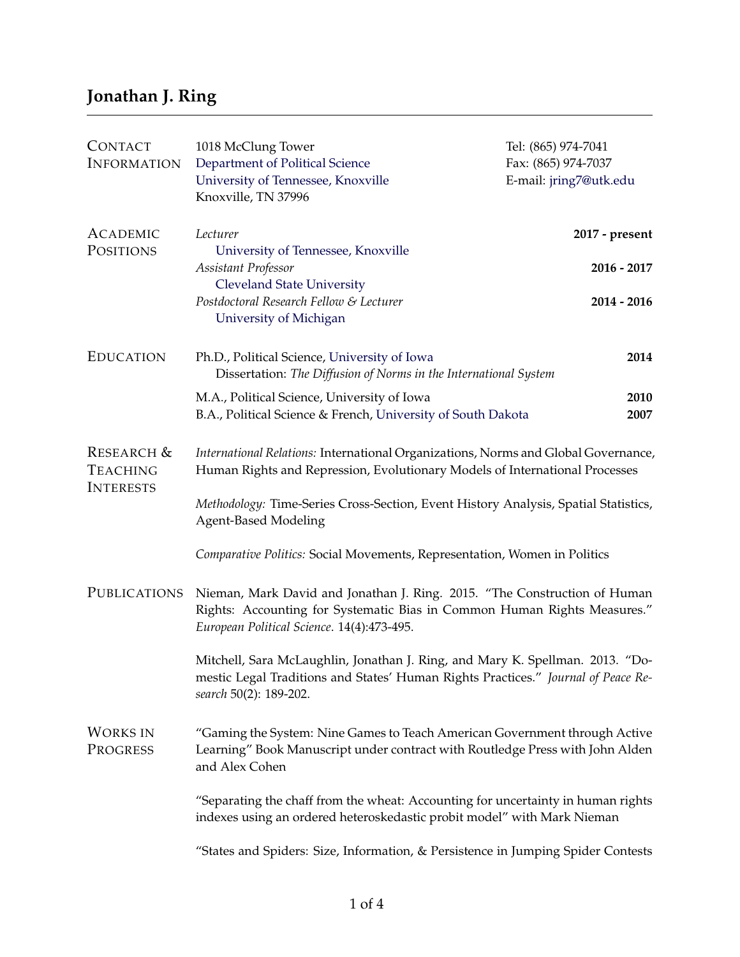## **Jonathan J. Ring**

| <b>CONTACT</b><br><b>INFORMATION</b>                         | 1018 McClung Tower<br>Department of Political Science<br>University of Tennessee, Knoxville<br>Knoxville, TN 37996                                                                                  | Tel: (865) 974-7041<br>Fax: (865) 974-7037<br>E-mail: jring7@utk.edu |  |
|--------------------------------------------------------------|-----------------------------------------------------------------------------------------------------------------------------------------------------------------------------------------------------|----------------------------------------------------------------------|--|
| <b>ACADEMIC</b><br>POSITIONS                                 | Lecturer<br>University of Tennessee, Knoxville                                                                                                                                                      | 2017 - present                                                       |  |
|                                                              | Assistant Professor<br><b>Cleveland State University</b><br>Postdoctoral Research Fellow & Lecturer<br>University of Michigan                                                                       | 2016 - 2017<br>2014 - 2016                                           |  |
| <b>EDUCATION</b>                                             | Ph.D., Political Science, University of Iowa<br>Dissertation: The Diffusion of Norms in the International System                                                                                    | 2014                                                                 |  |
|                                                              | M.A., Political Science, University of Iowa<br>B.A., Political Science & French, University of South Dakota                                                                                         | 2010<br>2007                                                         |  |
| <b>RESEARCH &amp;</b><br><b>TEACHING</b><br><b>INTERESTS</b> | International Relations: International Organizations, Norms and Global Governance,<br>Human Rights and Repression, Evolutionary Models of International Processes                                   |                                                                      |  |
|                                                              | Methodology: Time-Series Cross-Section, Event History Analysis, Spatial Statistics,<br><b>Agent-Based Modeling</b>                                                                                  |                                                                      |  |
|                                                              | Comparative Politics: Social Movements, Representation, Women in Politics                                                                                                                           |                                                                      |  |
| PUBLICATIONS                                                 | Nieman, Mark David and Jonathan J. Ring. 2015. "The Construction of Human<br>Rights: Accounting for Systematic Bias in Common Human Rights Measures."<br>European Political Science. 14(4):473-495. |                                                                      |  |
|                                                              | Mitchell, Sara McLaughlin, Jonathan J. Ring, and Mary K. Spellman. 2013. "Do-<br>mestic Legal Traditions and States' Human Rights Practices." Journal of Peace Re-<br>search 50(2): 189-202.        |                                                                      |  |
| <b>WORKS IN</b><br>PROGRESS                                  | "Gaming the System: Nine Games to Teach American Government through Active<br>Learning" Book Manuscript under contract with Routledge Press with John Alden<br>and Alex Cohen                       |                                                                      |  |
|                                                              | "Separating the chaff from the wheat: Accounting for uncertainty in human rights<br>indexes using an ordered heteroskedastic probit model" with Mark Nieman                                         |                                                                      |  |
|                                                              | "States and Spiders: Size, Information, & Persistence in Jumping Spider Contests                                                                                                                    |                                                                      |  |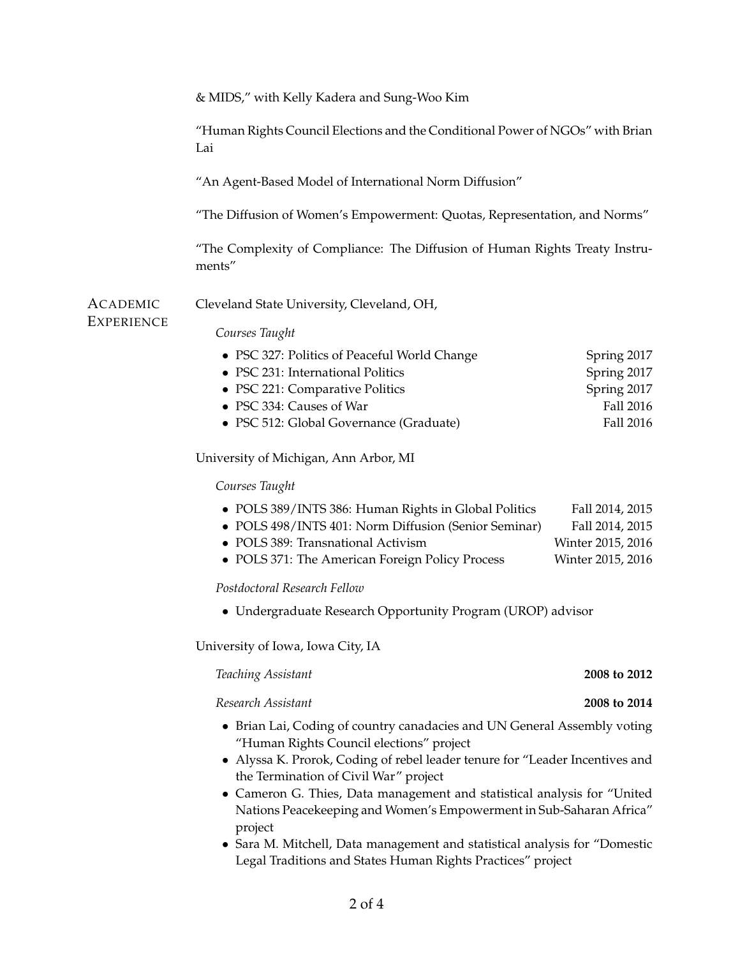|                        | & MIDS," with Kelly Kadera and Sung-Woo Kim                                                                                                                                                                                                                              |                                                                              |  |  |
|------------------------|--------------------------------------------------------------------------------------------------------------------------------------------------------------------------------------------------------------------------------------------------------------------------|------------------------------------------------------------------------------|--|--|
|                        |                                                                                                                                                                                                                                                                          |                                                                              |  |  |
|                        | "Human Rights Council Elections and the Conditional Power of NGOs" with Brian<br>Lai                                                                                                                                                                                     |                                                                              |  |  |
|                        | "An Agent-Based Model of International Norm Diffusion"                                                                                                                                                                                                                   |                                                                              |  |  |
|                        | "The Diffusion of Women's Empowerment: Quotas, Representation, and Norms"                                                                                                                                                                                                |                                                                              |  |  |
|                        | "The Complexity of Compliance: The Diffusion of Human Rights Treaty Instru-<br>ments"                                                                                                                                                                                    |                                                                              |  |  |
| ACADEMIC<br>Experience | Cleveland State University, Cleveland, OH,                                                                                                                                                                                                                               |                                                                              |  |  |
|                        | Courses Taught                                                                                                                                                                                                                                                           |                                                                              |  |  |
|                        | • PSC 327: Politics of Peaceful World Change<br>• PSC 231: International Politics<br>• PSC 221: Comparative Politics<br>• PSC 334: Causes of War<br>• PSC 512: Global Governance (Graduate)                                                                              | Spring 2017<br>Spring 2017<br>Spring 2017<br>Fall 2016<br><b>Fall 2016</b>   |  |  |
|                        | University of Michigan, Ann Arbor, MI                                                                                                                                                                                                                                    |                                                                              |  |  |
|                        | Courses Taught                                                                                                                                                                                                                                                           |                                                                              |  |  |
|                        | • POLS 389/INTS 386: Human Rights in Global Politics<br>• POLS 498/INTS 401: Norm Diffusion (Senior Seminar)<br>• POLS 389: Transnational Activism<br>• POLS 371: The American Foreign Policy Process                                                                    | Fall 2014, 2015<br>Fall 2014, 2015<br>Winter 2015, 2016<br>Winter 2015, 2016 |  |  |
|                        | Postdoctoral Research Fellow                                                                                                                                                                                                                                             |                                                                              |  |  |
|                        | • Undergraduate Research Opportunity Program (UROP) advisor                                                                                                                                                                                                              |                                                                              |  |  |
|                        | University of Iowa, Iowa City, IA                                                                                                                                                                                                                                        |                                                                              |  |  |
|                        | Teaching Assistant                                                                                                                                                                                                                                                       | 2008 to 2012                                                                 |  |  |
|                        | Research Assistant                                                                                                                                                                                                                                                       | 2008 to 2014                                                                 |  |  |
|                        | • Brian Lai, Coding of country canadacies and UN General Assembly voting<br>"Human Rights Council elections" project                                                                                                                                                     |                                                                              |  |  |
|                        | • Alyssa K. Prorok, Coding of rebel leader tenure for "Leader Incentives and<br>the Termination of Civil War" project<br>• Cameron G. Thies, Data management and statistical analysis for "United<br>Nations Peacekeeping and Women's Empowerment in Sub-Saharan Africa" |                                                                              |  |  |
|                        | project<br>• Sara M. Mitchell, Data management and statistical analysis for "Domestic<br>Legal Traditions and States Human Rights Practices" project                                                                                                                     |                                                                              |  |  |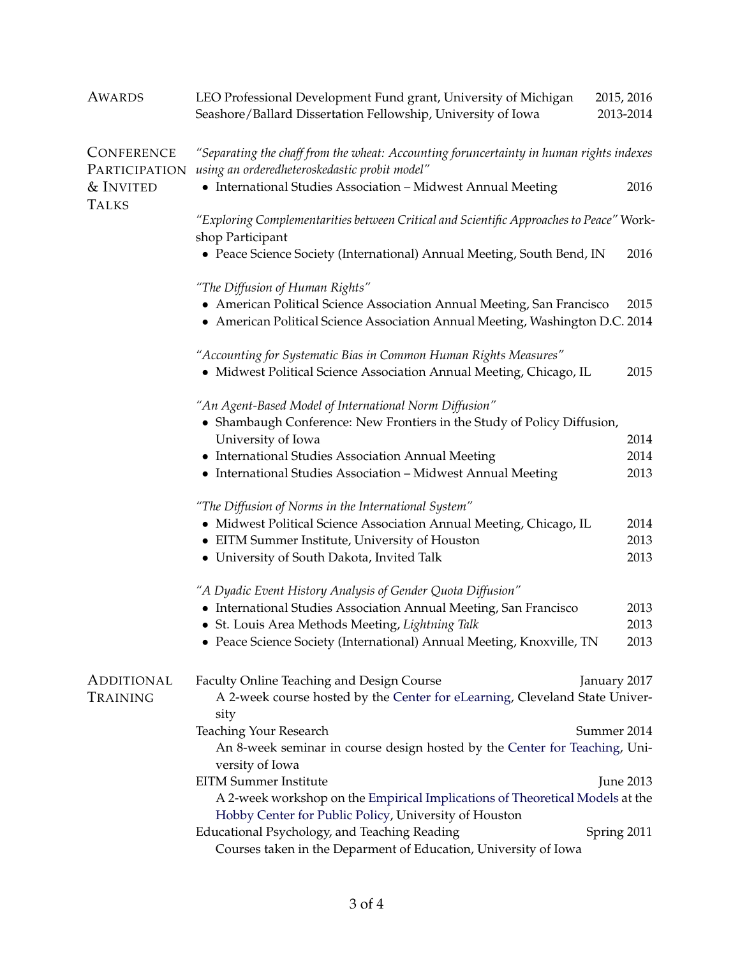| <b>AWARDS</b>                      | LEO Professional Development Fund grant, University of Michigan<br>Seashore/Ballard Dissertation Fellowship, University of Iowa                                       | 2015, 2016<br>2013-2014 |
|------------------------------------|-----------------------------------------------------------------------------------------------------------------------------------------------------------------------|-------------------------|
| <b>CONFERENCE</b><br>PARTICIPATION | "Separating the chaff from the wheat: Accounting foruncertainty in human rights indexes<br>using an orderedheteroskedastic probit model"                              |                         |
| & INVITED<br><b>TALKS</b>          | • International Studies Association - Midwest Annual Meeting                                                                                                          | 2016                    |
|                                    | "Exploring Complementarities between Critical and Scientific Approaches to Peace" Work-<br>shop Participant                                                           |                         |
|                                    | • Peace Science Society (International) Annual Meeting, South Bend, IN                                                                                                | 2016                    |
|                                    | "The Diffusion of Human Rights"                                                                                                                                       |                         |
|                                    | • American Political Science Association Annual Meeting, San Francisco<br>• American Political Science Association Annual Meeting, Washington D.C. 2014               | 2015                    |
|                                    | "Accounting for Systematic Bias in Common Human Rights Measures"<br>• Midwest Political Science Association Annual Meeting, Chicago, IL                               | 2015                    |
|                                    | "An Agent-Based Model of International Norm Diffusion"<br>• Shambaugh Conference: New Frontiers in the Study of Policy Diffusion,                                     |                         |
|                                    | University of Iowa                                                                                                                                                    | 2014                    |
|                                    | • International Studies Association Annual Meeting                                                                                                                    | 2014                    |
|                                    | • International Studies Association - Midwest Annual Meeting                                                                                                          | 2013                    |
|                                    | "The Diffusion of Norms in the International System"                                                                                                                  |                         |
|                                    | • Midwest Political Science Association Annual Meeting, Chicago, IL                                                                                                   | 2014                    |
|                                    | • EITM Summer Institute, University of Houston                                                                                                                        | 2013                    |
|                                    | • University of South Dakota, Invited Talk                                                                                                                            | 2013                    |
|                                    | "A Dyadic Event History Analysis of Gender Quota Diffusion"                                                                                                           |                         |
|                                    | • International Studies Association Annual Meeting, San Francisco                                                                                                     | 2013                    |
|                                    | • St. Louis Area Methods Meeting, Lightning Talk                                                                                                                      | 2013                    |
|                                    | • Peace Science Society (International) Annual Meeting, Knoxville, TN                                                                                                 | 2013                    |
| <b>ADDITIONAL</b>                  | Faculty Online Teaching and Design Course<br>January 2017                                                                                                             |                         |
| Training                           | A 2-week course hosted by the Center for eLearning, Cleveland State Univer-<br>sity                                                                                   |                         |
|                                    | <b>Teaching Your Research</b><br>Summer 2014<br>An 8-week seminar in course design hosted by the Center for Teaching, Uni-                                            |                         |
|                                    | versity of Iowa                                                                                                                                                       |                         |
|                                    | <b>EITM Summer Institute</b><br>A 2-week workshop on the Empirical Implications of Theoretical Models at the<br>Hobby Center for Public Policy, University of Houston | <b>June 2013</b>        |
|                                    | Educational Psychology, and Teaching Reading<br>Spring 2011<br>Courses taken in the Deparment of Education, University of Iowa                                        |                         |